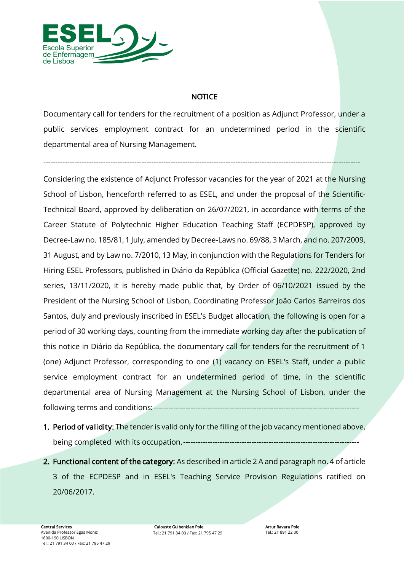

### *NOTICE*

*Documentary call for tenders for the recruitment of a position as Adjunct Professor, under a public services employment contract for an undetermined period in the scientific departmental area of Nursing Management.*

*------------------------------------------------------------------------------------------------------------------------------------*

*Considering the existence of Adjunct Professor vacancies for the year of 2021 at the Nursing School of Lisbon, henceforth referred to as ESEL, and under the proposal of the Scientific-Technical Board, approved by deliberation on 26/07/2021, in accordance with terms of the Career Statute of Polytechnic Higher Education Teaching Staff (ECPDESP), approved by Decree-Law no. 185/81, 1 July, amended by Decree-Laws no. 69/88, 3 March, and no. 207/2009, 31 August, and by Law no. 7/2010, 13 May, in conjunction with the Regulations for Tenders for Hiring ESEL Professors, published in Diário da República (Official Gazette) no. 222/2020, 2nd series, 13/11/2020, it is hereby made public that, by Order of 06/10/2021 issued by the President of the Nursing School of Lisbon, Coordinating Professor João Carlos Barreiros dos Santos, duly and previously inscribed in ESEL's Budget allocation, the following is open for a period of 30 working days, counting from the immediate working day after the publication of this notice in Diário da República, the documentary call for tenders for the recruitment of 1 (one) Adjunct Professor, corresponding to one (1) vacancy on ESEL's Staff, under a public service employment contract for an undetermined period of time, in the scientific departmental area of Nursing Management at the Nursing School of Lisbon, under the following terms and conditions:------------------------------------------------------------------------------------*

- *1. Period of validity: The tender is valid only for the filling of the job vacancy mentioned above, being completed with its occupation.------------------------------------------------------------------------*
- *2. Functional content of the category: As described in article 2 A and paragraph no. 4 of article 3 of the ECPDESP and in ESEL's Teaching Service Provision Regulations ratified on 20/06/2017.*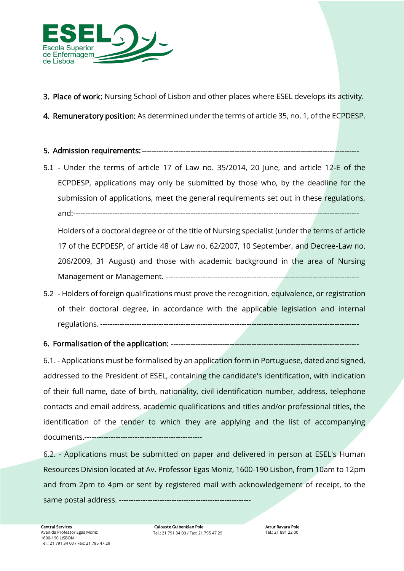

- *3. Place of work: Nursing School of Lisbon and other places where ESEL develops its activity.*
- *4. Remuneratory position: As determined under the terms of article 35, no. 1, of the ECPDESP.*

## *5. Admission requirements: -----------------------------------------------------------------------------------------*

5.1 *- Under the terms of article 17 of Law no. 35/2014, 20 June, and article 12-E of the ECPDESP, applications may only be submitted by those who, by the deadline for the submission of applications, meet the general requirements set out in these regulations, and:---------------------------------------------------------------------------------------------------------------------*

*Holders of a doctoral degree or of the title of Nursing specialist (under the terms of article 17 of the ECPDESP, of article 48 of Law no. 62/2007, 10 September, and Decree-Law no. 206/2009, 31 August) and those with academic background in the area of Nursing Management or Management. -------------------------------------------------------------------------------*

5.2 *- Holders of foreign qualifications must prove the recognition, equivalence, or registration*  of their doctoral degree, in accordance with the applicable legislation and internal *regulations. ----------------------------------------------------------------------------------------------------------*

## *6. Formalisation of the application: -----------------------------------------------------------------------------*

*6.1. - Applications must be formalised by an application form in Portuguese, dated and signed, addressed to the President of ESEL, containing the candidate's identification, with indication of their full name, date of birth, nationality, civil identification number, address, telephone contacts and email address, academic qualifications and titles and/or professional titles, the identification of the tender to which they are applying and the list of accompanying documents.-------------------------------------------------*

*6.2. - Applications must be submitted on paper and delivered in person at ESEL's Human Resources Division located at Av. Professor Egas Moniz, 1600-190 Lisbon, from 10am to 12pm and from 2pm to 4pm or sent by registered mail with acknowledgement of receipt, to the same postal address. -------------------------------------------------------*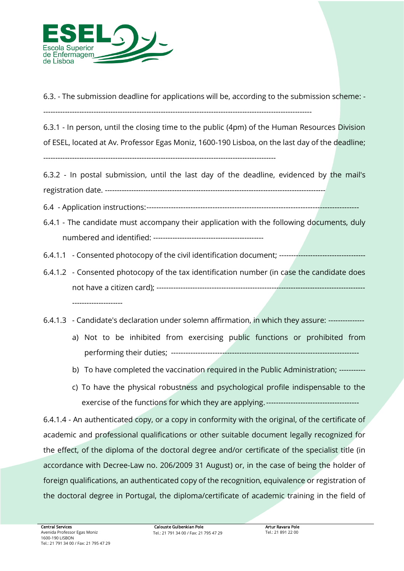

*6.3. - The submission deadline for applications will be, according to the submission scheme: -*

*----------------------------------------------------------------------------------------------------------------*

*6.3.1 - In person, until the closing time to the public (4pm) of the Human Resources Division of ESEL, located at Av. Professor Egas Moniz, 1600-190 Lisboa, on the last day of the deadline; -------------------------------------------------------------------------------------------------*

*6.3.2 - In postal submission, until the last day of the deadline, evidenced by the mail's registration date. --------------------------------------------------------------------------------------------*

*6.4 - Application instructions:---------------------------------------------------------------------------------------*

- *6.4.1 - The candidate must accompany their application with the following documents, duly numbered and identified: ----------------------------------------------*
- *6.4.1.1 - Consented photocopy of the civil identification document; ------------------------------------*
- *6.4.1.2 - Consented photocopy of the tax identification number (in case the candidate does not have a citizen card); --------------------------------------------------------------------------------------- ---------------------*
- *6.4.1.3 - Candidate's declaration under solemn affirmation, in which they assure: --------------*
	- a) Not to be inhibited from exercising public functions or prohibited from *performing their duties; -----------------------------------------------------------------------------*
	- *b) To have completed the vaccination required in the Public Administration; -----------*
	- *c) To have the physical robustness and psychological profile indispensable to the exercise of the functions for which they are applying.--------------------------------------*

*6.4.1.4 - An authenticated copy, or a copy in conformity with the original, of the certificate of academic and professional qualifications or other suitable document legally recognized for the effect, of the diploma of the doctoral degree and/or certificate of the specialist title (in accordance with Decree-Law no. 206/2009 31 August) or, in the case of being the holder of*  foreign qualifications, an authenticated copy of the recognition, equivalence or registration of *the doctoral degree in Portugal, the diploma/certificate of academic training in the field of*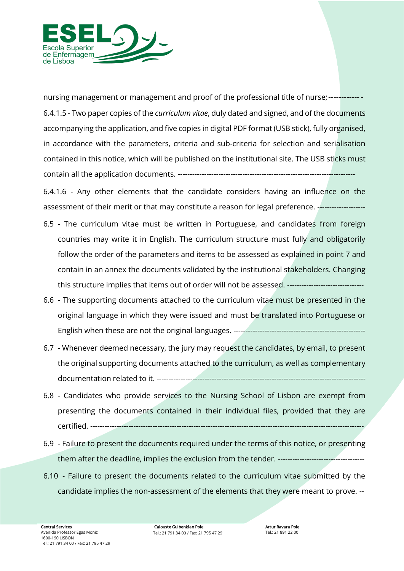

*nursing management or management and proof of the professional title of nurse;------------- 6.4.1.5 - Two paper copies of the curriculum vitae, duly dated and signed, and of the documents accompanying the application, and five copies in digital PDF format (USB stick), fully organised, in accordance with the parameters, criteria and sub-criteria for selection and serialisation contained in this notice, which will be published on the institutional site. The USB sticks must contain all the application documents. --------------------------------------------------------------------------*

*6.4.1.6 - Any other elements that the candidate considers having an influence on the assessment of their merit or that may constitute a reason for legal preference. --------------------*

- *6.5 - The curriculum vitae must be written in Portuguese, and candidates from foreign countries may write it in English. The curriculum structure must fully and obligatorily follow the order of the parameters and items to be assessed as explained in point 7 and contain in an annex the documents validated by the institutional stakeholders. Changing this structure implies that items out of order will not be assessed. --------------------------------*
- *6.6 - The supporting documents attached to the curriculum vitae must be presented in the original language in which they were issued and must be translated into Portuguese or English when these are not the original languages. -------------------------------------------------------*
- *6.7 - Whenever deemed necessary, the jury may request the candidates, by email, to present the original supporting documents attached to the curriculum, as well as complementary documentation related to it. ---------------------------------------------------------------------------------------*
- *6.8 - Candidates who provide services to the Nursing School of Lisbon are exempt from presenting the documents contained in their individual files, provided that they are certified. ------------------------------------------------------------------------------------------------------------------*
- *6.9 - Failure to present the documents required under the terms of this notice, or presenting them after the deadline, implies the exclusion from the tender. ------------------------------------*
- *6.10 - Failure to present the documents related to the curriculum vitae submitted by the candidate implies the non-assessment of the elements that they were meant to prove. --*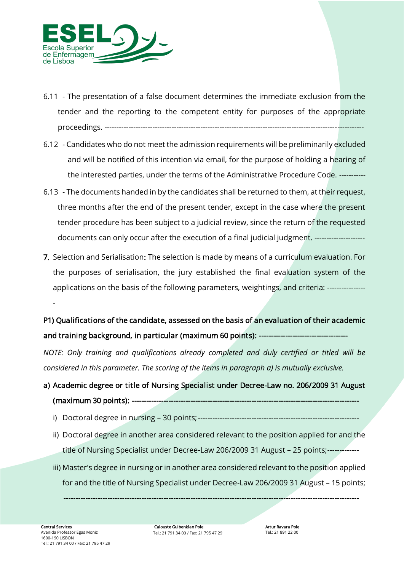

- *6.11 - The presentation of a false document determines the immediate exclusion from the tender and the reporting to the competent entity for purposes of the appropriate proceedings. ------------------------------------------------------------------------------------------------------------*
- *6.12 - Candidates who do not meet the admission requirements will be preliminarily excluded*  and will be notified of this intention via email, for the purpose of holding a hearing of *the interested parties, under the terms of the Administrative Procedure Code. -----------*
- *6.13 - The documents handed in by the candidates shall be returned to them, at their request, three months after the end of the present tender, except in the case where the present tender procedure has been subject to a judicial review, since the return of the requested documents can only occur after the execution of a final judicial judgment. ---------------------*
- *7. Selection and Serialisation: The selection is made by means of a curriculum evaluation. For the purposes of serialisation, the jury established the final evaluation system of the applications on the basis of the following parameters, weightings, and criteria: ---------------- -*

*P1) Qualifications of the candidate, assessed on the basis of an evaluation of their academic*  and training background, in particular (maximum 60 points): --

*NOTE: Only training and qualifications already completed and duly certified or titled will be considered in this parameter. The scoring of the items in paragraph a) is mutually exclusive.*

- *a) Academic degree or title of Nursing Specialist under Decree-Law no. 206/2009 31 August (maximum 30 points): --------------------------------------------------------------------------------------------* 
	- *i) Doctoral degree in nursing – 30 points;------------------------------------------------------------------*
	- *ii) Doctoral degree in another area considered relevant to the position applied for and the title of Nursing Specialist under Decree-Law 206/2009 31 August – 25 points;-------------*
	- *iii) Master's degree in nursing or in another area considered relevant to the position applied*  for and the title of Nursing Specialist under Decree-Law 206/2009 31 August - 15 points;

*-------------------------------------------------------------------------------------------------------------------------*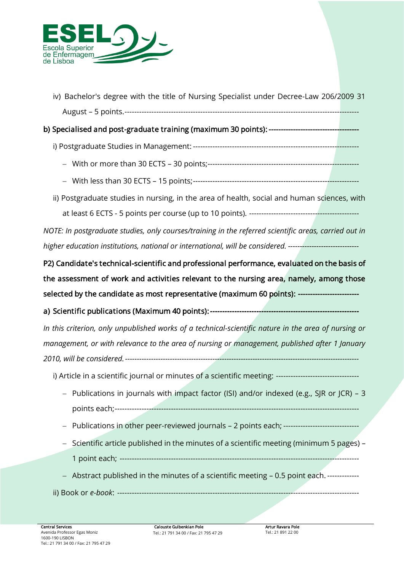

*iv) Bachelor's degree with the title of Nursing Specialist under Decree-Law 206/2009 31 August – 5 points.------------------------------------------------------------------------------------------------*

# *b) Specialised and post-graduate training (maximum 30 points): -------------------------------------*

- *i) Postgraduate Studies in Management: --------------------------------------------------------------------*
	- − *With or more than 30 ECTS – 30 points;--------------------------------------------------------------*
	- − *With less than 30 ECTS – 15 points;--------------------------------------------------------------------*
- *ii) Postgraduate studies in nursing, in the area of health, social and human sciences, with at least 6 ECTS - 5 points per course (up to 10 points). ---------------------------------------------*

*NOTE: In postgraduate studies, only courses/training in the referred scientific areas, carried out in higher education institutions, national or international, will be considered. ------------------------------*

*P2) Candidate's technical-scientific and professional performance, evaluated on the basis of the assessment of work and activities relevant to the nursing area, namely, among those selected by the candidate as most representative (maximum 60 points): -------------------------* 

*a) Scientific publications (Maximum 40 points):-------------------------------------------------------------*

*In this criterion, only unpublished works of a technical-scientific nature in the area of nursing or management, or with relevance to the area of nursing or management, published after 1 January 2010, will be considered.---------------------------------------------------------------------------------------------------*

*i) Article in a scientific journal or minutes of a scientific meeting: ----------------------------------*

- − *Publications in journals with impact factor (ISI) and/or indexed (e.g., SJR or JCR) – 3 points each;----------------------------------------------------------------------------------------------------*
- − *Publications in other peer-reviewed journals – 2 points each; -------------------------------*
- − *Scientific article published in the minutes of a scientific meeting (minimum 5 pages) – 1 point each; --------------------------------------------------------------------------------------------------*
- − *Abstract published in the minutes of a scientific meeting – 0.5 point each. -------------*
- *ii) Book or e-book: ---------------------------------------------------------------------------------------------------*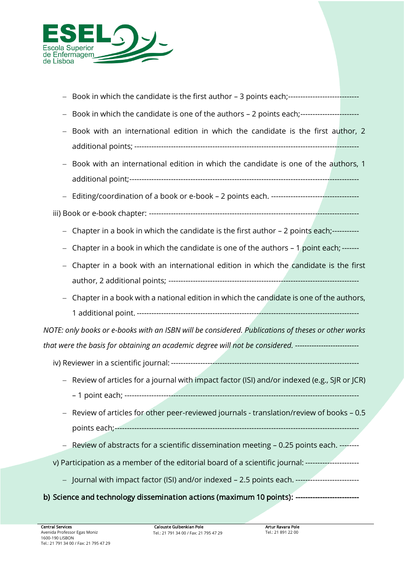

- − *Book in which the candidate is the first author – 3 points each;-----------------------------*
- − *Book in which the candidate is one of the authors – 2 points each;------------------------*
- − *Book with an international edition in which the candidate is the first author, 2 additional points; --------------------------------------------------------------------------------------------*
- − *Book with an international edition in which the candidate is one of the authors, 1 additional point;----------------------------------------------------------------------------------------------*
- − *Editing/coordination of a book or e-book – 2 points each. ------------------------------------*
- *iii) Book or e-book chapter: --------------------------------------------------------------------------------------*
	- − *Chapter in a book in which the candidate is the first author – 2 points each;-----------*
	- − *Chapter in a book in which the candidate is one of the authors – 1 point each; -------*
	- − *Chapter in a book with an international edition in which the candidate is the first author, 2 additional points; ------------------------------------------------------------------------------*
	- − *Chapter in a book with a national edition in which the candidate is one of the authors, 1 additional point. -------------------------------------------------------------------------------------------*

*NOTE: only books or e-books with an ISBN will be considered. Publications of theses or other works that were the basis for obtaining an academic degree will not be considered. ---------------------------*

- *iv) Reviewer in a scientific journal: -----------------------------------------------------------------------------*
	- − *Review of articles for a journal with impact factor (ISI) and/or indexed (e.g., SJR or JCR) – 1 point each; ------------------------------------------------------------------------------------------------*
	- − *Review of articles for other peer-reviewed journals - translation/review of books – 0.5 points each;----------------------------------------------------------------------------------------------------*
	- − *Review of abstracts for a scientific dissemination meeting – 0.25 points each. --------*
- *v) Participation as a member of the editorial board of a scientific journal: ----------------------*
	- − *Journal with impact factor (ISI) and/or indexed – 2.5 points each. --------------------------*

### *b) Science and technology dissemination actions (maximum 10 points): --------------------------*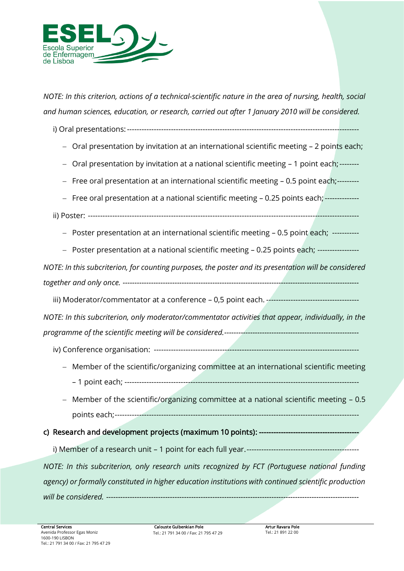

*NOTE: In this criterion, actions of a technical-scientific nature in the area of nursing, health, social and human sciences, education, or research, carried out after 1 January 2010 will be considered.*

*i) Oral presentations:-----------------------------------------------------------------------------------------------*

- − *Oral presentation by invitation at an international scientific meeting – 2 points each;*
- − *Oral presentation by invitation at a national scientific meeting – 1 point each;--------*
- − *Free oral presentation at an international scientific meeting – 0.5 point each;---------*
- − *Free oral presentation at a national scientific meeting – 0.25 points each;--------------*

*ii) Poster: ---------------------------------------------------------------------------------------------------------------*

− *Poster presentation at an international scientific meeting – 0.5 point each; -----------*

− *Poster presentation at a national scientific meeting – 0.25 points each; -----------------*

*NOTE: In this subcriterion, for counting purposes, the poster and its presentation will be considered together and only once. ----------------------------------------------------------------------------------------------------*

*iii) Moderator/commentator at a conference – 0,5 point each. --------------------------------------*

*NOTE: In this subcriterion, only moderator/commentator activities that appear, individually, in the programme of the scientific meeting will be considered.---------------------------------------------------------*

- *iv) Conference organisation: ------------------------------------------------------------------------------------*
	- − *Member of the scientific/organizing committee at an international scientific meeting – 1 point each; ------------------------------------------------------------------------------------------------*
	- − *Member of the scientific/organizing committee at a national scientific meeting – 0.5 points each;----------------------------------------------------------------------------------------------------*

### *c) Research and development projects (maximum 10 points): -----------------------------------------*

*i) Member of a research unit – 1 point for each full year.----------------------------------------------*

*NOTE: In this subcriterion, only research units recognized by FCT (Portuguese national funding agency) or formally constituted in higher education institutions with continued scientific production will be considered. -----------------------------------------------------------------------------------------------------------*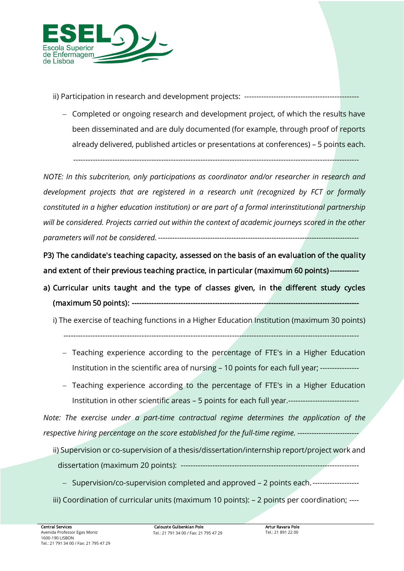

*ii) Participation in research and development projects: -----------------------------------------------*

− *Completed or ongoing research and development project, of which the results have been disseminated and are duly documented (for example, through proof of reports already delivered, published articles or presentations at conferences) – 5 points each.*

*---------------------------------------------------------------------------------------------------------------------*

*NOTE: In this subcriterion, only participations as coordinator and/or researcher in research and development projects that are registered in a research unit (recognized by FCT or formally constituted in a higher education institution) or are part of a formal interinstitutional partnership will be considered. Projects carried out within the context of academic journeys scored in the other parameters will not be considered. -------------------------------------------------------------------------------------*

*P3) The candidate's teaching capacity, assessed on the basis of an evaluation of the quality*  and extent of their previous teaching practice, in particular (maximum 60 points)---

- *a) Curricular units taught and the type of classes given, in the different study cycles (maximum 50 points): --------------------------------------------------------------------------------------------* 
	- *i) The exercise of teaching functions in a Higher Education Institution (maximum 30 points)*

*-------------------------------------------------------------------------------------------------------------------------*

- − *Teaching experience according to the percentage of FTE's in a Higher Education Institution in the scientific area of nursing – 10 points for each full year; ----------------*
- − *Teaching experience according to the percentage of FTE's in a Higher Education Institution in other scientific areas – 5 points for each full year.-----------------------------*

*Note: The exercise under a part-time contractual regime determines the application of the respective hiring percentage on the score established for the full-time regime. --------------------------*

- *ii) Supervision or co-supervision of a thesis/dissertation/internship report/project work and dissertation (maximum 20 points): -------------------------------------------------------------------------*
	- − *Supervision/co-supervision completed and approved – 2 points each.-------------------*
- *iii) Coordination of curricular units (maximum 10 points): – 2 points per coordination; ----*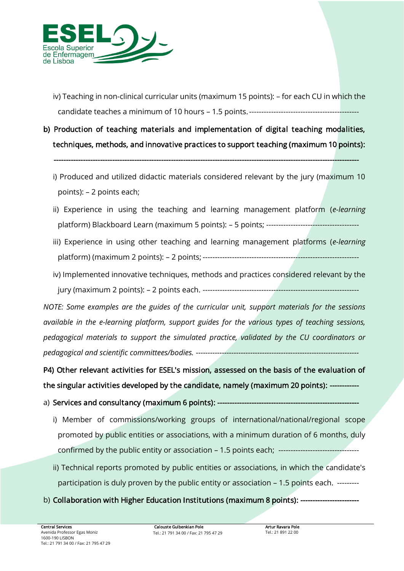

- *iv*) Teaching in non-clinical curricular units (maximum 15 points): for each CU in which the *candidate teaches a minimum of 10 hours – 1.5 points.---------------------------------------------*
- *b) Production of teaching materials and implementation of digital teaching modalities, techniques, methods, and innovative practices to support teaching (maximum 10 points):*

 *-----------------------------------------------------------------------------------------------------------------------------* 

- *i) Produced and utilized didactic materials considered relevant by the jury (maximum 10 points): – 2 points each;*
- *ii) Experience in using the teaching and learning management platform (e-learning platform) Blackboard Learn (maximum 5 points): – 5 points; --------------------------------------*
- *iii) Experience in using other teaching and learning management platforms (e-learning platform) (maximum 2 points): – 2 points; ----------------------------------------------------------------*
- *iv) Implemented innovative techniques, methods and practices considered relevant by the jury (maximum 2 points): – 2 points each. ----------------------------------------------------------------*

*NOTE: Some examples are the guides of the curricular unit, support materials for the sessions available in the e-learning platform, support guides for the various types of teaching sessions, pedagogical materials to support the simulated practice, validated by the CU coordinators or pedagogical and scientific committees/bodies. ---------------------------------------------------------------------*

P4) Other relevant activities for ESEL's mission, assessed on the basis of the evaluation of *the singular activities developed by the candidate, namely (maximum 20 points): ------------* 

- a) **Services and consultancy (maximum 6 points): ---**
	- *i) Member of commissions/working groups of international/national/regional scope promoted by public entities or associations, with a minimum duration of 6 months, duly confirmed by the public entity or association – 1.5 points each; ---------------------------------*
	- *ii) Technical reports promoted by public entities or associations, in which the candidate's participation is duly proven by the public entity or association – 1.5 points each. ---------*
- *b) Collaboration with Higher Education Institutions (maximum 8 points): ------------------------*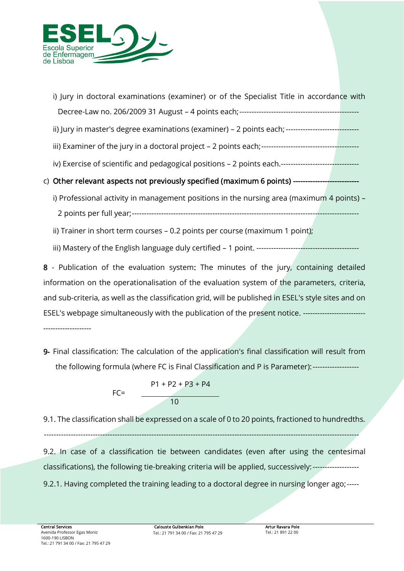

| i) Jury in doctoral examinations (examiner) or of the Specialist Title in accordance with            |  |
|------------------------------------------------------------------------------------------------------|--|
|                                                                                                      |  |
| ii) Jury in master's degree examinations (examiner) - 2 points each; ------------------------------  |  |
|                                                                                                      |  |
| iv) Exercise of scientific and pedagogical positions - 2 points each.------------------------------- |  |
| c) Other relevant aspects not previously specified (maximum 6 points) ----------------------------   |  |
| i) Professional activity in management positions in the nursing area (maximum 4 points) –            |  |
|                                                                                                      |  |
|                                                                                                      |  |

*ii) Trainer in short term courses – 0.2 points per course (maximum 1 point);*

*iii) Mastery of the English language duly certified – 1 point. ------------------------------------------*

*8 - Publication of the evaluation system: The minutes of the jury, containing detailed information on the operationalisation of the evaluation system of the parameters, criteria, and sub-criteria, as well as the classification grid, will be published in ESEL's style sites and on ESEL's webpage simultaneously with the publication of the present notice. -------------------------- --------------------* 

*9- Final classification: The calculation of the application's final classification will result from the following formula (where FC is Final Classification and P is Parameter):-------------------*



*9.1. The classification shall be expressed on a scale of 0 to 20 points, fractioned to hundredths.*

*---------------------------------------------------------------------------------------------------------------------------------*

9.2. In case of a classification tie between candidates (even after using the centesimal *classifications), the following tie-breaking criteria will be applied, successively:------------------- 9.2.1. Having completed the training leading to a doctoral degree in nursing longer ago;-----*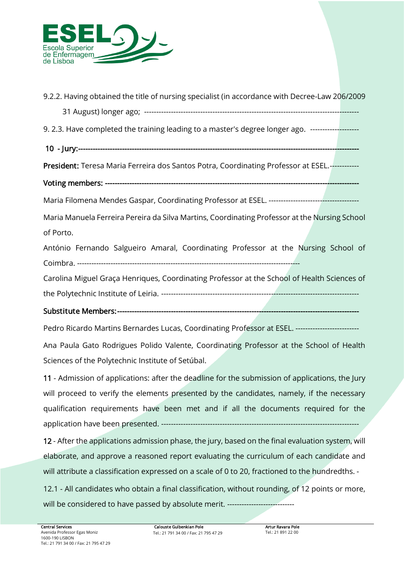

*9.2.2. Having obtained the title of nursing specialist (in accordance with Decree-Law 206/2009* 

*31 August) longer ago; ----------------------------------------------------------------------------------------*

*9. 2.3. Have completed the training leading to a master's degree longer ago. --------------------*

10 - Jury:---

*President: Teresa Maria Ferreira dos Santos Potra, Coordinating Professor at ESEL.------------*

*Voting members: --------------------------------------------------------------------------------------------------------* 

*Maria Filomena Mendes Gaspar, Coordinating Professor at ESEL. -------------------------------------*

*Maria Manuela Ferreira Pereira da Silva Martins, Coordinating Professor at the Nursing School of Porto.*

*António Fernando Salgueiro Amaral, Coordinating Professor at the Nursing School of Coimbra. ---------------------------------------------------------------------------------------------*

*Carolina Miguel Graça Henriques, Coordinating Professor at the School of Health Sciences of the Polytechnic Institute of Leiria. ---------------------------------------------------------------------------------*

### *Substitute Members: ---------------------------------------------------------------------------------------------------*

*Pedro Ricardo Martins Bernardes Lucas, Coordinating Professor at ESEL. --------------------------*

*Ana Paula Gato Rodrigues Polido Valente, Coordinating Professor at the School of Health Sciences of the Polytechnic Institute of Setúbal.*

*11 - Admission of applications: after the deadline for the submission of applications, the Jury will proceed to verify the elements presented by the candidates, namely, if the necessary qualification requirements have been met and if all the documents required for the application have been presented. ---------------------------------------------------------------------------------*

*12 - After the applications admission phase, the jury, based on the final evaluation system, will elaborate, and approve a reasoned report evaluating the curriculum of each candidate and will attribute a classification expressed on a scale of 0 to 20, fractioned to the hundredths. -*

*12.1 - All candidates who obtain a final classification, without rounding, of 12 points or more, will be considered to have passed by absolute merit. ----------------------------*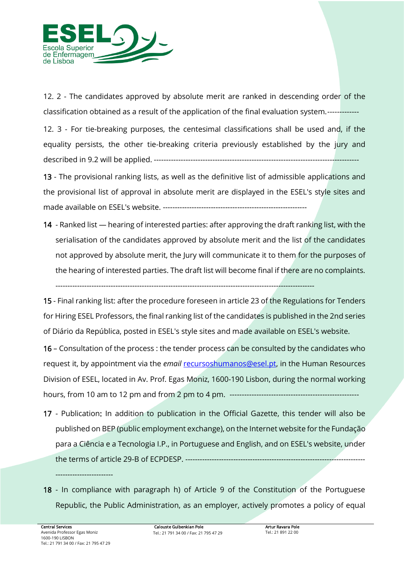

*12. 2 - The candidates approved by absolute merit are ranked in descending order of the classification obtained as a result of the application of the final evaluation system.-------------*

*12. 3 - For tie-breaking purposes, the centesimal classifications shall be used and, if the equality persists, the other tie-breaking criteria previously established by the jury and described in 9.2 will be applied. ------------------------------------------------------------------------------------*

*13 - The provisional ranking lists, as well as the definitive list of admissible applications and the provisional list of approval in absolute merit are displayed in the ESEL's style sites and made available on ESEL's website. ------------------------------------------------------------*

14 - Ranked list — hearing of interested parties: after approving the draft ranking list, with the *serialisation of the candidates approved by absolute merit and the list of the candidates not approved by absolute merit, the Jury will communicate it to them for the purposes of the hearing of interested parties. The draft list will become final if there are no complaints.* 

*------------------------------------------------------------------------------------------------------------*

*15 - Final ranking list: after the procedure foreseen in article 23 of the Regulations for Tenders for Hiring ESEL Professors, the final ranking list of the candidates is published in the 2nd series of Diário da República, posted in ESEL's style sites and made available on ESEL's website.*

*16 – Consultation of the process : the tender process can be consulted by the candidates who request it, by appointment via the email [recursoshumanos@esel.pt,](mailto:recursoshumanos@esel.pt) in the Human Resources Division of ESEL, located in Av. Prof. Egas Moniz, 1600-190 Lisbon, during the normal working hours, from 10 am to 12 pm and from 2 pm to 4 pm. -----------------------------------------------------*

- *17 - Publication: In addition to publication in the Official Gazette, this tender will also be published on BEP (public employment exchange), on the Internet website for the Fundação para a Ciência e a Tecnologia I.P., in Portuguese and English, and on ESEL's website, under the terms of article 29-B of ECPDESP. ---------------------------------------------------------------------------*
- *18 - In compliance with paragraph h) of Article 9 of the Constitution of the Portuguese Republic, the Public Administration, as an employer, actively promotes a policy of equal*

*------------------------*